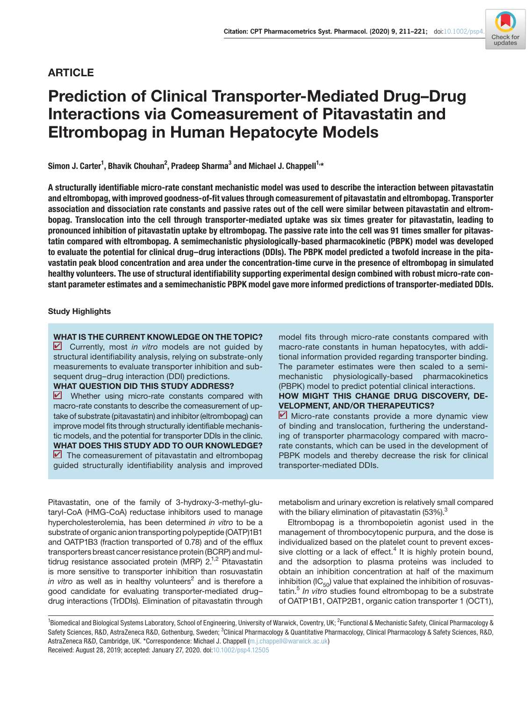# ARTICLE

# Prediction of Clinical Transporter-Mediated Drug–Drug Interactions via Comeasurement of Pitavastatin and Eltrombopag in Human Hepatocyte Models

Simon J. Carter<sup>1</sup>, Bhavik Chouhan<sup>2</sup>, Pradeep Sharma<sup>3</sup> and Michael J. Chappell<sup>1,</sup>\*

A structurally identifiable micro-rate constant mechanistic model was used to describe the interaction between pitavastatin and eltrombopag, with improved goodness-of-fit values through comeasurement of pitavastatin and eltrombopag. Transporter association and dissociation rate constants and passive rates out of the cell were similar between pitavastatin and eltrombopag. Translocation into the cell through transporter-mediated uptake was six times greater for pitavastatin, leading to pronounced inhibition of pitavastatin uptake by eltrombopag. The passive rate into the cell was 91 times smaller for pitavastatin compared with eltrombopag. A semimechanistic physiologically-based pharmacokinetic (PBPK) model was developed to evaluate the potential for clinical drug–drug interactions (DDIs). The PBPK model predicted a twofold increase in the pitavastatin peak blood concentration and area under the concentration-time curve in the presence of eltrombopag in simulated healthy volunteers. The use of structural identifiability supporting experimental design combined with robust micro-rate constant parameter estimates and a semimechanistic PBPK model gave more informed predictions of transporter-mediated DDIs.

# Study Highlights

WHAT IS THE CURRENT KNOWLEDGE ON THE TOPIC? ✔ Currently, most *in vitro* models are not guided by structural identifiability analysis, relying on substrate-only measurements to evaluate transporter inhibition and subsequent drug–drug interaction (DDI) predictions.

# WHAT QUESTION DID THIS STUDY ADDRESS?

**V** Whether using micro-rate constants compared with macro-rate constants to describe the comeasurement of uptake of substrate (pitavastatin) and inhibitor (eltrombopag) can improve model fits through structurally identifiable mechanistic models, and the potential for transporter DDIs in the clinic. WHAT DOES THIS STUDY ADD TO OUR KNOWLEDGE?  $\blacksquare$  The comeasurement of pitavastatin and eltrombopag guided structurally identifiability analysis and improved mechanistic physiologically-based pharmacokinetics (PBPK) model to predict potential clinical interactions. HOW MIGHT THIS CHANGE DRUG DISCOVERY, DE-VELOPMENT, AND/OR THERAPEUTICS? ■ Micro-rate constants provide a more dynamic view of binding and translocation, furthering the understand-

model fits through micro-rate constants compared with macro-rate constants in human hepatocytes, with additional information provided regarding transporter binding. The parameter estimates were then scaled to a semi-

ing of transporter pharmacology compared with macrorate constants, which can be used in the development of PBPK models and thereby decrease the risk for clinical transporter-mediated DDIs.

Pitavastatin, one of the family of 3-hydroxy-3-methyl-glutaryl-CoA (HMG-CoA) reductase inhibitors used to manage hypercholesterolemia, has been determined *in vitro* to be a substrate of organic anion transporting polypeptide (OATP)1B1 and OATP1B3 (fraction transported of 0.78) and of the efflux transporters breast cancer resistance protein (BCRP) and multidrug resistance associated protein (MRP)  $2^{1,2}$  Pitavastatin is more sensitive to transporter inhibition than rosuvastatin *in vitro* as well as in healthy volunteers<sup>2</sup> and is therefore a good candidate for evaluating transporter-mediated drug– drug interactions (TrDDIs). Elimination of pitavastatin through

metabolism and urinary excretion is relatively small compared with the biliary elimination of pitavastatin (53%). $3$ 

Eltrombopag is a thrombopoietin agonist used in the management of thrombocytopenic purpura, and the dose is individualized based on the platelet count to prevent excessive clotting or a lack of effect. $4$  It is highly protein bound, and the adsorption to plasma proteins was included to obtain an inhibition concentration at half of the maximum inhibition ( $IC_{50}$ ) value that explained the inhibition of rosuvastatin.<sup>5</sup> *In vitro* studies found eltrombopag to be a substrate of OATP1B1, OATP2B1, organic cation transporter 1 (OCT1),

<sup>1</sup>Biomedical and Biological Systems Laboratory, School of Engineering, University of Warwick, Coventry, UK; <sup>2</sup>Functional & Mechanistic Safety, Clinical Pharmacology & Safety Sciences, R&D, AstraZeneca R&D, Gothenburg, Sweden; <sup>3</sup>Clinical Pharmacology & Quantitative Pharmacology, Clinical Pharmacology & Safety Sciences, R&D, AstraZeneca R&D, Cambridge, UK. \*Correspondence: Michael J. Chappell ([m.j.chappell@warwick.ac.uk](mailto:m.j.chappell@warwick.ac.uk)) Received: August 28, 2019; accepted: January 27, 2020. doi:[10.1002/psp4.12505](https://doi.org/10.1002/psp4.12505)

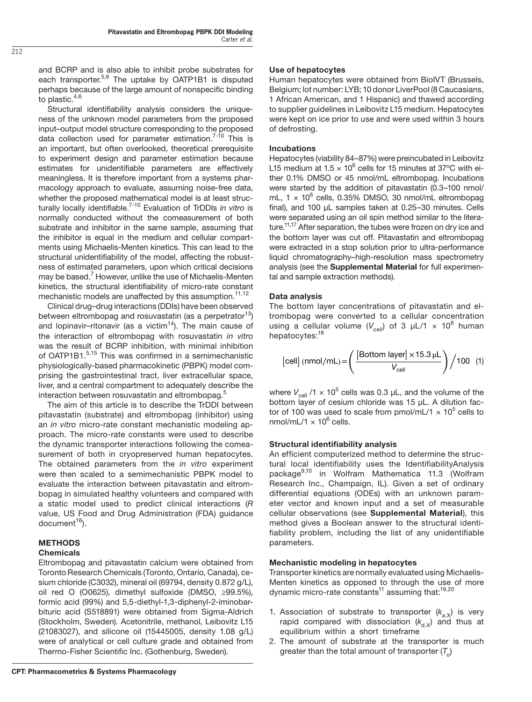and BCRP and is also able to inhibit probe substrates for each transporter.<sup>5,6</sup> The uptake by OATP1B1 is disputed perhaps because of the large amount of nonspecific binding to plastic. $4,6$ 

Structural identifiability analysis considers the uniqueness of the unknown model parameters from the proposed input–output model structure corresponding to the proposed data collection used for parameter estimation.<sup>7-10</sup> This is an important, but often overlooked, theoretical prerequisite to experiment design and parameter estimation because estimates for unidentifiable parameters are effectively meaningless. It is therefore important from a systems pharmacology approach to evaluate, assuming noise-free data, whether the proposed mathematical model is at least structurally locally identifiable.7-10 Evaluation of TrDDIs *in vitro* is normally conducted without the comeasurement of both substrate and inhibitor in the same sample, assuming that the inhibitor is equal in the medium and cellular compartments using Michaelis-Menten kinetics. This can lead to the structural unidentifiability of the model, affecting the robustness of estimated parameters, upon which critical decisions may be based.<sup>7</sup> However, unlike the use of Michaelis-Menten kinetics, the structural identifiability of micro-rate constant mechanistic models are unaffected by this assumption.<sup>11,12</sup>

Clinical drug–drug interactions (DDIs) have been observed between eltrombopag and rosuvastatin (as a perpetrator<sup>13</sup>) and lopinavir–ritonavir (as a victim $14$ ). The main cause of the interaction of eltrombopag with rosuvastatin *in vitro* was the result of BCRP inhibition, with minimal inhibition of OATP1B1.<sup>5,15</sup> This was confirmed in a semimechanistic physiologically-based pharmacokinetic (PBPK) model comprising the gastrointestinal tract, liver extracellular space, liver, and a central compartment to adequately describe the interaction between rosuvastatin and eltrombopag.<sup>5</sup>

The aim of this article is to describe the TrDDI between pitavastatin (substrate) and eltrombopag (inhibitor) using an *in vitro* micro-rate constant mechanistic modeling approach. The micro-rate constants were used to describe the dynamic transporter interactions following the comeasurement of both in cryopreserved human hepatocytes. The obtained parameters from the *in vitro* experiment were then scaled to a semimechanistic PBPK model to evaluate the interaction between pitavastatin and eltrombopag in simulated healthy volunteers and compared with a static model used to predict clinical interactions (*R*  value, US Food and Drug Administration (FDA) guidance document<sup>16</sup>).

# METHODS

# **Chemicals**

Eltrombopag and pitavastatin calcium were obtained from Toronto Research Chemicals (Toronto, Ontario, Canada), cesium chloride (C3032), mineral oil (69794, density 0.872 g/L), oil red O (O0625), dimethyl sulfoxide (DMSO, ≥99.5%), formic acid (99%) and 5,5-diethyl-1,3-diphenyl-2-iminobarbituric acid (S518891) were obtained from Sigma-Aldrich (Stockholm, Sweden). Acetonitrile, methanol, Leibovitz L15 (21083027), and silicone oil (15445005, density 1.08 g/L) were of analytical or cell culture grade and obtained from Thermo-Fisher Scientific Inc. (Gothenburg, Sweden).

Human hepatocytes were obtained from BioIVT (Brussels, Belgium; lot number: LYB; 10 donor LiverPool (8 Caucasians, 1 African American, and 1 Hispanic) and thawed according to supplier guidelines in Leibovitz L15 medium. Hepatocytes were kept on ice prior to use and were used within 3 hours of defrosting.

# Incubations

Hepatocytes (viability 84–87%) were preincubated in Leibovitz L15 medium at 1.5  $\times$  10<sup>6</sup> cells for 15 minutes at 37°C with either 0.1% DMSO or 45 nmol/mL eltrombopag. Incubations were started by the addition of pitavastatin (0.3-100 nmol/ mL,  $1 \times 10^6$  cells, 0.35% DMSO, 30 nmol/mL eltrombopag final), and 100 µL samples taken at 0.25–30 minutes. Cells were separated using an oil spin method similar to the literature.<sup>11,17</sup> After separation, the tubes were frozen on dry ice and the bottom layer was cut off. Pitavastatin and eltrombopag were extracted in a stop solution prior to ultra-performance liquid chromatography–high-resolution mass spectrometry analysis (see the Supplemental Material for full experimental and sample extraction methods).

# Data analysis

The bottom layer concentrations of pitavastatin and eltrombopag were converted to a cellular concentration using a cellular volume  $(V_{\text{cell}})$  of 3  $\mu$ L/1  $\times$  10<sup>6</sup> human hepatocytes:<sup>18</sup>

[cell] (nmol/mL) = 
$$
\left(\frac{\text{[Bottom layer]} \times 15.3 \,\mu\text{L}}{V_{cell}}\right) / 100
$$
 (1)

where  $V_{\text{cell}}$  /1  $\times$  10<sup>5</sup> cells was 0.3  $\mu$ L, and the volume of the bottom layer of cesium chloride was 15 µL. A dilution factor of 100 was used to scale from pmol/mL/1  $\times$  10<sup>5</sup> cells to nmol/mL/1  $\times$  10<sup>6</sup> cells.

# Structural identifiability analysis

An efficient computerized method to determine the structural local identifiability uses the IdentifiabilityAnalysis package<sup>9,10</sup> in Wolfram Mathematica 11.3 (Wolfram Research Inc., Champaign, IL). Given a set of ordinary differential equations (ODEs) with an unknown parameter vector and known input and a set of measurable cellular observations (see Supplemental Material), this method gives a Boolean answer to the structural identifiability problem, including the list of any unidentifiable parameters.

# Mechanistic modeling in hepatocytes

Transporter kinetics are normally evaluated using Michaelis-Menten kinetics as opposed to through the use of more dynamic micro-rate constants<sup>11</sup> assuming that:<sup>19,20</sup>

- 1. Association of substrate to transporter  $(k_{a}x)$  is very rapid compared with dissociation  $(k_{d.x})$  and thus at equilibrium within a short timeframe
- 2. The amount of substrate at the transporter is much greater than the total amount of transporter  $(T<sub>o</sub>)$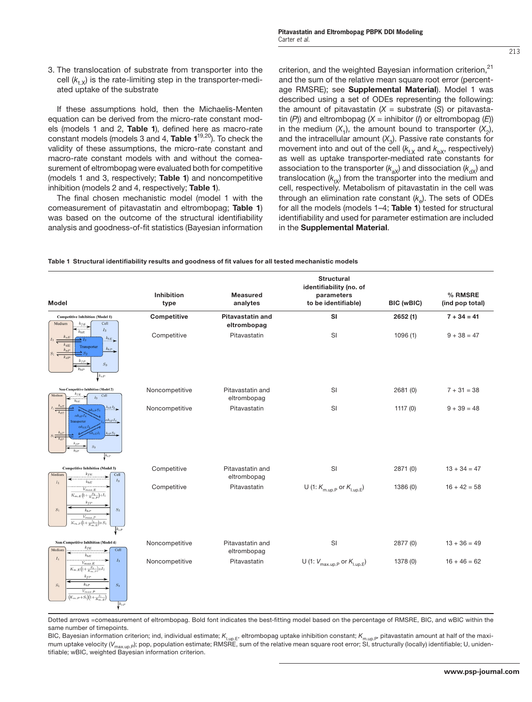3. The translocation of substrate from transporter into the cell  $(k_{t,x})$  is the rate-limiting step in the transporter-mediated uptake of the substrate

If these assumptions hold, then the Michaelis-Menten equation can be derived from the micro-rate constant models (models 1 and 2, Table 1), defined here as macro-rate constant models (models 3 and 4, Table  $1^{19,20}$ ). To check the validity of these assumptions, the micro-rate constant and macro-rate constant models with and without the comeasurement of eltrombopag were evaluated both for competitive (models 1 and 3, respectively; Table 1) and noncompetitive inhibition (models 2 and 4, respectively; Table 1).

The final chosen mechanistic model (model 1 with the comeasurement of pitavastatin and eltrombopag; Table 1) was based on the outcome of the structural identifiability analysis and goodness-of-fit statistics (Bayesian information criterion, and the weighted Bayesian information criterion,<sup>21</sup> and the sum of the relative mean square root error (percentage RMSRE); see Supplemental Material). Model 1 was described using a set of ODEs representing the following: the amount of pitavastatin  $(X =$  substrate  $(S)$  or pitavastatin (*P*)) and eltrombopag (*X =* inhibitor (*I*) or eltrombopag (*E*)) in the medium  $(X_1)$ , the amount bound to transporter  $(X_2)$ , and the intracellular amount  $(X_3)$ . Passive rate constants for movement into and out of the cell  $(k_f_X)$  and  $k_{\text{bX}}$ , respectively) as well as uptake transporter-mediated rate constants for association to the transporter ( $k_{ax}$ ) and dissociation ( $k_{dx}$ ) and translocation  $(k_{tx})$  from the transporter into the medium and cell, respectively. Metabolism of pitavastatin in the cell was through an elimination rate constant  $(k<sub>n</sub>)$ . The sets of ODEs for all the models (models 1–4; Table 1) tested for structural identifiability and used for parameter estimation are included in the Supplemental Material.

Table 1 Structural identifiability results and goodness of fit values for all tested mechanistic models

| Model                                                                                                                                                                                                                                                                                                                                                                            | <b>Inhibition</b><br>type | <b>Measured</b><br>analytes            | <b>Structural</b><br>identifiability (no. of<br>parameters<br>to be identifiable) | <b>BIC (wBIC)</b> | % RMSRE<br>(ind pop total) |
|----------------------------------------------------------------------------------------------------------------------------------------------------------------------------------------------------------------------------------------------------------------------------------------------------------------------------------------------------------------------------------|---------------------------|----------------------------------------|-----------------------------------------------------------------------------------|-------------------|----------------------------|
| <b>Competitive Inhibition (Model 1)</b><br>Cell<br>Medium<br>$k_{fE}$<br>$\overbrace{\tiny{k_{bE}}}$<br>$I_3$<br>$k_{tE}$<br>$\rightarrow$ $I_2$<br>$k_{dE}$<br>Transporter<br>$k_{tP}$<br>$k_{aP}$<br>$\geq$ $S_2$<br>$k_{dB}$<br>$k_{fP}$<br>$\mathcal{S}_3$<br>$k_{LP}$<br>$k_{eP}$                                                                                           | Competitive               | <b>Pitavastatin and</b><br>eltrombopag | <b>SI</b>                                                                         | 2652(1)           | $7 + 34 = 41$              |
|                                                                                                                                                                                                                                                                                                                                                                                  | Competitive               | Pitavastatin                           | SI                                                                                | 1096(1)           | $9 + 38 = 47$              |
| <b>Non-Competitive Inhibition (Model 2)</b><br>$k_{fE}$<br>Medium<br>Cell<br>$I_3$<br>÷<br>$k_{bE}$<br>$k_{aE}$<br>$\sqrt{k_{tE}I_{2}}$<br>$\overline{\phantom{m}}\phantom{m}_{k_{dE}}$<br>$\alpha k$ <sub>20</sub> L<br>$\alpha k_{tP} I_4$<br>ransporter<br>$\alpha k_{dE}$<br>$k_{a}$<br>$k_t$ <sub>P</sub> $S_2$<br>$\overline{\phantom{m}}_{k}$<br>$S_2$<br>$\sqrt{k_{eP}}$ | Noncompetitive            | Pitavastatin and<br>eltrombopag        | SI                                                                                | 2681 (0)          | $7 + 31 = 38$              |
|                                                                                                                                                                                                                                                                                                                                                                                  | Noncompetitive            | Pitavastatin                           | SI                                                                                | 1117(0)           | $9 + 39 = 48$              |
| <b>Competitive Inhibition (Model 3)</b><br>$k_{fE}$<br>Medium<br>Cell<br>$I_3$<br>$k_{bE}$<br>$\mathcal{I}_1$<br>.<br>$V_{max.\,E}$<br>$K_{m.E}\left(1+\frac{S_1}{K_{m.P}}\right) {+} I_1$<br>$k_{fP}$<br>$\mathcal{S}_1$<br>$\mathcal{S}_3$<br>$k_{bP}$<br>$V_{max.P}$<br>$\overline{K_{m,\,P}\left(1+\frac{I_1}{K_{m,\,E}}\right)}+S_1$<br>$k_{cP}$                            | Competitive               | Pitavastatin and<br>eltrombopag        | SI                                                                                | 2871 (0)          | $13 + 34 = 47$             |
|                                                                                                                                                                                                                                                                                                                                                                                  | Competitive               | Pitavastatin                           | U (1: $K_{m.up.P}$ or $K_{l.up.E}$ )                                              | 1386 (0)          | $16 + 42 = 58$             |
| Non-Competitive Inhibition (Model 4)<br>$k_{fE}$<br>Cell<br>Medium<br>٠<br>$k_{bE}$<br>$I_1$<br>$V_{max. E}$<br>$\mathcal{I}_3$<br>۰.,<br>$\overline{K_{m.E}\left(1+\frac{S_{1}}{K_{m,P}}\right)}+I_{1}$<br>$k_{fP}$<br>$k_b p$<br>$\mathcal{S}_3$<br>$\mathcal{S}_1$<br>$V_{max.P}$<br>$(K_{m.P}+S_1)(1+\frac{I_1}{K_{m-E}})$<br>$k_{eP}$                                       | Noncompetitive            | Pitavastatin and<br>eltrombopag        | SI                                                                                | 2877 (0)          | $13 + 36 = 49$             |
|                                                                                                                                                                                                                                                                                                                                                                                  | Noncompetitive            | Pitavastatin                           | U (1: $V_{\text{max.up.P}}$ or $K_{\text{l.up.E}}$ )                              | 1378 (0)          | $16 + 46 = 62$             |

Dotted arrows *=*comeasurement of eltrombopag. Bold font indicates the best-fitting model based on the percentage of RMSRE, BIC, and wBIC within the same number of timepoints.

BIC, Bayesian information criterion; ind, individual estimate;  $K_{\text{l,un},E}$ , eltrombopag uptake inhibition constant;  $K_{\text{m,un},E}$ , pitavastatin amount at half of the maximum uptake velocity (V<sub>max.up.</sub>p); pop, population estimate; RMSRE, sum of the relative mean square root error; SI, structurally (locally) identifiable; U, unidentifiable; wBIC, weighted Bayesian information criterion.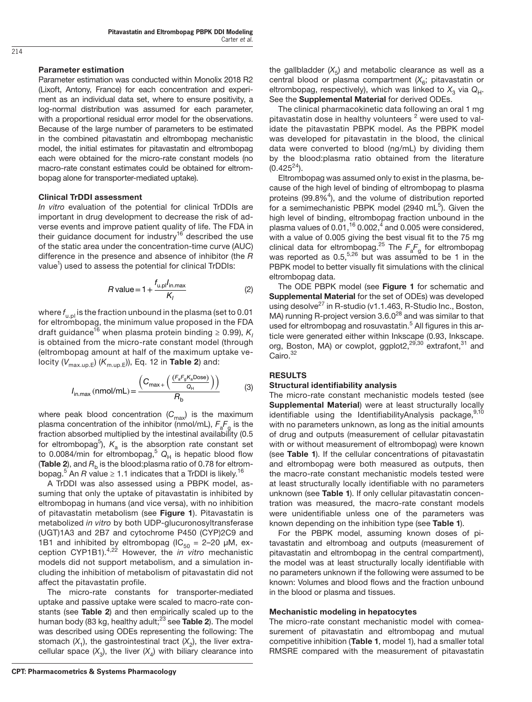#### Parameter estimation

Parameter estimation was conducted within Monolix 2018 R2 (Lixoft, Antony, France) for each concentration and experiment as an individual data set, where to ensure positivity, a log-normal distribution was assumed for each parameter, with a proportional residual error model for the observations. Because of the large number of parameters to be estimated in the combined pitavastatin and eltrombopag mechanistic model, the initial estimates for pitavastatin and eltrombopag each were obtained for the micro-rate constant models (no macro-rate constant estimates could be obtained for eltrombopag alone for transporter-mediated uptake).

#### Clinical TrDDI assessment

*In vitro* evaluation of the potential for clinical TrDDIs are important in drug development to decrease the risk of adverse events and improve patient quality of life. The FDA in their guidance document for industry<sup>16</sup> described the use of the static area under the concentration-time curve (AUC) difference in the presence and absence of inhibitor (the *R*  value<sup>1</sup>) used to assess the potential for clinical TrDDIs:

$$
R \text{ value} = 1 + \frac{f_{u,pl}l_{\text{in,max}}}{K_I} \tag{2}
$$

where *f* u.pl is the fraction unbound in the plasma (set to 0.01 for eltrombopag, the minimum value proposed in the FDA draft guidance<sup>16</sup> when plasma protein binding ≥ 0.99),  $\mathsf{K}_\mathsf{I}$ is obtained from the micro-rate constant model (through (eltrombopag amount at half of the maximum uptake velocity  $(V_{\text{max.up.E}})$  ( $K_{\text{m.up.E}}$ )), Eq. 12 in **Table 2**) and:

$$
I_{\text{in,max}} \text{(nmol/mL)} = \frac{\left(C_{\text{max}+}\left(\frac{(F_a F_g K_a \text{Dose})}{Q_H}\right)\right)}{R_b} \tag{3}
$$

where peak blood concentration (C<sub>max</sub>) is the maximum plasma concentration of the inhibitor (nmol/mL), *F*a*F*g is the fraction absorbed multiplied by the intestinal availability (0.5 for eltrombopag<sup>5</sup>),  $K_a$  is the absorption rate constant set to 0.0084/min for eltrombopag,<sup>5</sup>  $Q_H$  is hepatic blood flow (Table 2), and  $R<sub>b</sub>$  is the blood: plasma ratio of 0.78 for eltrombopag.<sup>5</sup> An *R* value ≥ 1.1 indicates that a TrDDI is likely.<sup>16</sup>

A TrDDI was also assessed using a PBPK model, assuming that only the uptake of pitavastatin is inhibited by eltrombopag in humans (and vice versa), with no inhibition of pitavastatin metabolism (see Figure 1). Pitavastatin is metabolized *in vitro* by both UDP-glucuronosyltransferase (UGT)1A3 and 2B7 and cytochrome P450 (CYP)2C9 and 1B1 and inhibited by eltrombopag ( $IC_{50} = 2-20 \mu M$ , exception CYP1B1).4,22 However, the *in vitro* mechanistic models did not support metabolism, and a simulation including the inhibition of metabolism of pitavastatin did not affect the pitavastatin profile.

The micro-rate constants for transporter-mediated uptake and passive uptake were scaled to macro-rate constants (see Table 2) and then empirically scaled up to the human body (83 kg, healthy adult;<sup>23</sup> see Table 2). The model was described using ODEs representing the following: The stomach  $(X_1)$ , the gastrointestinal tract  $(X_2)$ , the liver extracellular space  $(X_3)$ , the liver  $(X_4)$  with biliary clearance into

The ODE PBPK model (see Figure 1 for schematic and

eltrombopag data.

 $(0.425^{24})$ .

Supplemental Material for the set of ODEs) was developed using desolve $^{27}$  in R-studio (v1.1.463, R-Studio Inc., Boston, MA) running R-project version  $3.6.0^{28}$  and was similar to that used for eltrombopag and rosuvastatin.<sup>5</sup> All figures in this article were generated either within Inkscape (0.93, Inkscape. org, Boston, MA) or cowplot, ggplot2,<sup>29,30</sup> extrafont,<sup>31</sup> and Cairo.<sup>32</sup>

the gallbladder  $(X<sub>5</sub>)$  and metabolic clearance as well as a central blood or plasma compartment (X<sub>6</sub>; pitavastatin or eltrombopag, respectively), which was linked to  $X_3$  via  $Q_H$ . See the **Supplemental Material** for derived ODEs.

The clinical pharmacokinetic data following an oral 1 mg pitavastatin dose in healthy volunteers  $^2$  were used to validate the pitavastatin PBPK model. As the PBPK model was developed for pitavastatin in the blood, the clinical data were converted to blood (ng/mL) by dividing them by the blood:plasma ratio obtained from the literature

Eltrombopag was assumed only to exist in the plasma, because of the high level of binding of eltrombopag to plasma proteins  $(99.8\%^{4})$ , and the volume of distribution reported for a semimechanistic PBPK model (2940 mL $^5$ ). Given the high level of binding, eltrombopag fraction unbound in the plasma values of  $0.01$ ,  $^{16}$  0.002, $^{4}$  and 0.005 were considered, with a value of 0.005 giving the best visual fit to the 75 mg clinical data for eltrombopag.<sup>25</sup> The  $F_{\rm a}F_{\rm g}$  for eltrombopag was reported as  $0.5$ ,  $5.26$  but was assumed to be 1 in the PBPK model to better visually fit simulations with the clinical

# **RESULTS**

#### Structural identifiability analysis

The micro-rate constant mechanistic models tested (see Supplemental Material) were at least structurally locally identifiable using the IdentifiabilityAnalysis package, 9,10 with no parameters unknown, as long as the initial amounts of drug and outputs (measurement of cellular pitavastatin with or without measurement of eltrombopag) were known (see Table 1). If the cellular concentrations of pitavastatin and eltrombopag were both measured as outputs, then the macro-rate constant mechanistic models tested were at least structurally locally identifiable with no parameters unknown (see Table 1). If only cellular pitavastatin concentration was measured, the macro-rate constant models were unidentifiable unless one of the parameters was known depending on the inhibition type (see Table 1).

For the PBPK model, assuming known doses of pitavastatin and eltromboag and outputs (measurement of pitavastatin and eltrombopag in the central compartment), the model was at least structurally locally identifiable with no parameters unknown if the following were assumed to be known: Volumes and blood flows and the fraction unbound in the blood or plasma and tissues.

#### Mechanistic modeling in hepatocytes

The micro-rate constant mechanistic model with comeasurement of pitavastatin and eltrombopag and mutual competitive inhibition (Table 1, model 1), had a smaller total RMSRE compared with the measurement of pitavastatin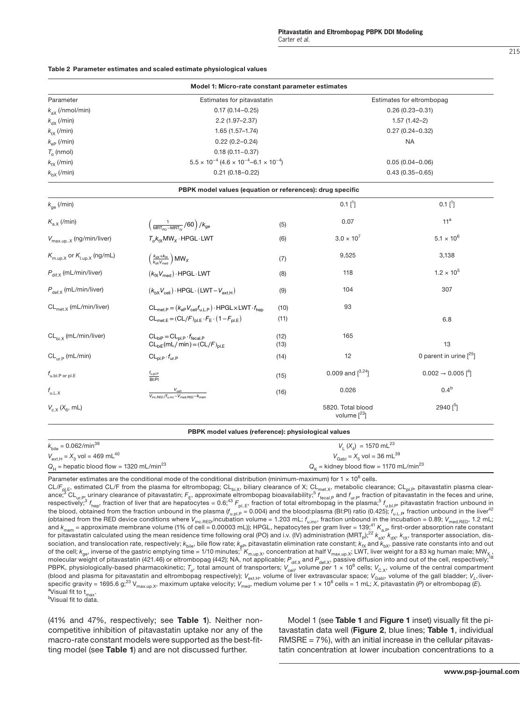#### Table 2 Parameter estimates and scaled estimate physiological values

|                                                    | Model 1: Micro-rate constant parameter estimates                                                   |                                                                    |                                         |                                           |  |  |
|----------------------------------------------------|----------------------------------------------------------------------------------------------------|--------------------------------------------------------------------|-----------------------------------------|-------------------------------------------|--|--|
| Parameter                                          |                                                                                                    | Estimates for pitavastatin                                         |                                         |                                           |  |  |
| $k_{\rm ax}$ (/nmol/min)                           | $0.17(0.14 - 0.25)$                                                                                |                                                                    |                                         | $0.26(0.23 - 0.31)$                       |  |  |
| $k_{dX}$ (/min)                                    | $2.2(1.97 - 2.37)$                                                                                 |                                                                    |                                         | $1.57(1.42-2)$                            |  |  |
| $k_{\text{tx}}$ (/min)                             | $1.65(1.57 - 1.74)$                                                                                |                                                                    |                                         | $0.27(0.24 - 0.32)$                       |  |  |
| $k_{\rm eP}$ (/min)                                | $0.22(0.2 - 0.24)$                                                                                 |                                                                    | <b>NA</b>                               |                                           |  |  |
| $T_{0}$ (nmol)                                     | $0.18(0.11 - 0.37)$                                                                                |                                                                    |                                         |                                           |  |  |
| $k_{\text{fx}}$ (/min)                             |                                                                                                    | $5.5 \times 10^{-4}$ (4.6 $\times 10^{-4}$ –6.1 $\times 10^{-4}$ ) |                                         |                                           |  |  |
| $k_{\text{bX}}$ (/min)                             | $0.21(0.18 - 0.22)$                                                                                |                                                                    | $0.43(0.35 - 0.65)$                     |                                           |  |  |
|                                                    | PBPK model values (equation or references): drug specific                                          |                                                                    |                                         |                                           |  |  |
| $k_{\text{qe}}$ (/min)                             |                                                                                                    |                                                                    | $0.1$ [ <sup>1</sup> ]                  | $0.1$ [ <sup>1</sup> ]                    |  |  |
| $K_{a,X}$ (/min)                                   | $\left(\frac{1}{\text{MRT}_{\text{DO}}-\text{MRT}_{\text{n}}}$ /60 $\right)/k_{\text{ge}}$         | (5)                                                                | 0.07                                    | 11 <sup>a</sup>                           |  |  |
| $V_{\text{max.up.,X}}$ (ng/min/liver)              | $T_0k_{tx}MW_x \cdot HPGL \cdot LWT$                                                               | (6)                                                                | $3.0 \times 10^{7}$                     | $5.1 \times 10^{6}$                       |  |  |
| $K_{\text{m.up,X}}$ or $K_{\text{l.up,X}}$ (ng/mL) | $\left(\frac{k_{\text{dX}}+k_{\text{tX}}}{k_{\text{cX}}V_{\text{mod}}}\right)$ MW <sub>X</sub>     | (7)                                                                | 9,525                                   | 3,138                                     |  |  |
| $P_{\text{dif,X}}$ (mL/min/liver)                  | $(k_{\text{fX}}V_{\text{med}}) \cdot \text{HPGL} \cdot \text{LWT}$                                 | (8)                                                                | 118                                     | $1.2 \times 10^{5}$                       |  |  |
| $P_{\text{def.}X}$ (mL/min/liver)                  | $(k_{bX}V_{cell})\cdot HPGL\cdot (LWT-V_{ext H})$                                                  | (9)                                                                | 104                                     | 307                                       |  |  |
| $CL_{met,X}$ (mL/min/liver)                        | $CL_{met,P} = (k_{eP}V_{cell}f_{u,L,P}) \cdot HPGL \times LWT \cdot f_{hep}$                       | (10)                                                               | 93                                      |                                           |  |  |
|                                                    | $CL_{\text{met-}F} = (CL/F)_{\text{pLE}} \cdot F_{\text{F}} \cdot (1 - F_{\text{pLE}})$            | (11)                                                               |                                         | 6.8                                       |  |  |
| $CL_{hi X}$ (mL/min/liver)                         | $CL_{\text{bIP}} = CL_{\text{pLP}} \cdot f_{\text{fecal,P}}$<br>$CL_{biE}(mL/min) = (CL/F)_{pl.E}$ | (12)<br>(13)                                                       | 165                                     | 13                                        |  |  |
| $CL_{\text{tr }P}$ (mL/min)                        | $CL_{\text{nl},\text{P}}\cdot f_{\text{ur},\text{P}}$                                              | (14)                                                               | 12                                      | 0 parent in urine $[{}^{25}]$             |  |  |
| $f_{\rm u,bl.P}$ or pl.E                           | $f_{\text{u,pLP}}$<br>$\overline{\mathsf{B}}$                                                      | (15)                                                               | 0.009 and $[3,24]$                      | $0.002 \rightarrow 0.005$ <sup>[4</sup> ] |  |  |
| $f_{u.L.X}$                                        | $\frac{V_{cell}}{V_{inc\ RED}/f_{line}-V_{med\ RED}-k_{mem}}$                                      | (16)                                                               | 0.026                                   | 0.4 <sup>b</sup>                          |  |  |
| $V_{c.X}$ ( $X_6$ , mL)                            |                                                                                                    |                                                                    | 5820. Total blood<br>volume $[{}^{23}]$ | $2940[^5]$                                |  |  |

| $k_{\text{bile}} = 0.062/\text{min}^{39}$              | $V_1(X_4) = 1570 \text{ mL}^{23}$                            |
|--------------------------------------------------------|--------------------------------------------------------------|
| $V_{\text{ext.H}} = X_3$ vol = 469 mL <sup>40</sup>    | $V_{\text{Gabl}} = X_5$ vol = 36 mL <sup>39</sup>            |
| $Q_H$ = hepatic blood flow = 1320 mL/min <sup>23</sup> | $Q_{\kappa}$ = kidney blood flow = 1170 mL/min <sup>23</sup> |

Parameter estimates are the conditional mode of the conditional distribution (minimum-maximum) for 1  $\times$  10<sup>6</sup> cells.

CL/F<sub>pl.E</sub>, estimated CL/F from the plasma for eltrombopag; CL<sub>bi.X</sub>, biliary clearance of X; CL<sub>met.X</sub>, metabolic clearance; CL<sub>pl.P</sub>, pitavastatin plasma clearance; $^3$  CL<sub>ur.P</sub>, urinary clearance of pitavastatin; F<sub>E</sub>, approximate eltrombopag bioavailability;<sup>5</sup> f<sub>recal.P</sub> and f<sub>ur.P</sub>, fraction of pitavastatin in the feces and urine,<br>respectively;<sup>3</sup> f<sub>hep</sub>, fraction of liver the blood, obtained from the fraction unbound in the plasma ( $f_{\text{u,ph}}$  $= 0.004$ ) and the blood:plasma (BI:PI) ratio (0.425);  $f_{\text{u,lr}}$  fraction unbound in the liver<sup>42</sup> (obtained from the RED device conditions where  $V_{\text{inc,RED}}$ incubation volume = 1.203 mL;  $f_{\text{u,inc}}$ , fraction unbound in the incubation = 0.89;  $V_{\text{med,RED}}$ , 1.2 mL; and *k*mem *=* approximate membrane volume (1% of cell *=* 0.00003 mL)); HPGL, hepatocytes per gram liver *=* 139;41 *<sup>K</sup>*a.P, first-order absorption rate constant for pitavastatin calculated using the mean residence time following oral (PO) and i.v. (IV) administration (MRT<sub>P</sub>);<sup>22</sup>  $k_{\rm ax}$ ,  $k_{\rm ax}$ ,  $k_{\rm tx}$ , transporter association, dissociation, and translocation rate, respectively;  $k_{\text{blue}}$ , bile flow rate;  $k_{\text{ep}}$ , pitavastatin elimination rate constant;  $k_{\text{rx}}$  and  $k_{\text{bx'}}$  passive rate constants into and out<br>of the cell;  $k_{\text{qa}},$  inverse of t molecular weight of pitavastatin (421.46) or eltrombopag (442); NA, not applicable;  $P_{\text{dif,X}}$  and  $P_{\text{def,X}}$ , passive diffusion into and out of the cell, respectively; PBPK, physiologically-based pharmacokinetic;  $\mathcal{T}_o$ , total amount of transporters;  $V_{\text{cell}}$ , volume *per* 1 × 10<sup>6</sup> cells;  $V_{\text{C,X}}$ , volume of the central compartment (blood and plasma for pitavastatin and eltrombopag respectively);  $V_{\text{ext,H}}$ , volume of liver extravascular space;  $V_{\text{Gain}}$ , volume of the gall bladder;  $V_L$ , liverspecific gravity *=* 1695.6 g;23 Vmax.up.X, maximum uptake velocity; *V*med, medium volume per 1 × 10<sup>6</sup> cells *=* 1 mL; *X*, pitavastatin (*P*) or eltrombopag (*E*). <sup>a</sup>Visual fit to t<sub>max</sub>.<br><sup>b</sup>Visual fit to data

bVisual fit to data.

(41% and 47%, respectively; see Table 1). Neither noncompetitive inhibition of pitavastatin uptake nor any of the macro-rate constant models were supported as the best-fitting model (see Table 1) and are not discussed further.

Model 1 (see Table 1 and Figure 1 inset) visually fit the pitavastatin data well (Figure 2, blue lines; Table 1, individual RMSRE *=* 7%), with an initial increase in the cellular pitavastatin concentration at lower incubation concentrations to a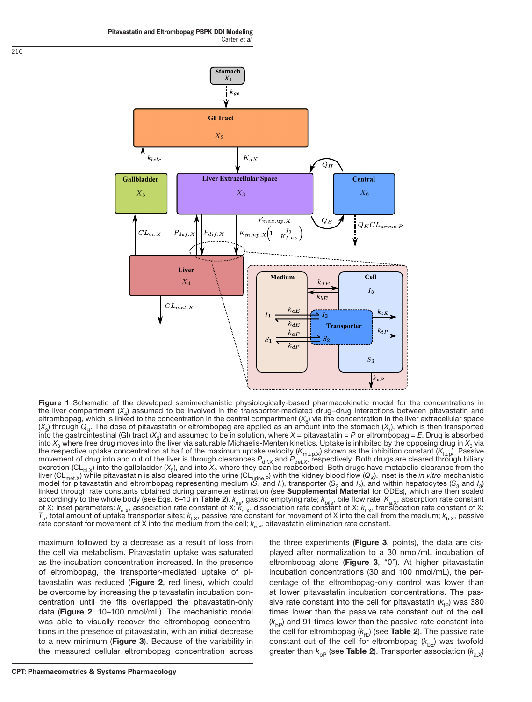



Figure 1 Schematic of the developed semimechanistic physiologically-based pharmacokinetic model for the concentrations in the liver compartment (*X*4) assumed to be involved in the transporter-mediated drug–drug interactions between pitavastatin and eltrombopag, which is linked to the concentration in the central compartment  $(X_{\alpha})$  via the concentration in the liver extracellular space  $(X_3)$  through  $Q_H$ . The dose of pitavastatin or eltrombopag are applied as an amount into the stomach  $(X_1)$ , which is then transported into the gastrointestinal (GI) tract  $(X_2)$  and assumed to be in solution, where  $X =$  pitavastatin = P or eltrombopag = E. Drug is absorbed into *X*<sub>3</sub> where free drug moves into the liver via saturable Michaelis-Menten kinetics. Uptake is inhibited by the opposing drug in *X*<sub>3</sub> via the respective uptake concentration at half of the maximum uptake velocity (*K*m.up.X) shown as the inhibition constant (*K*I.up). Passive movement of drug into and out of the liver is through clearances  $P_{\text{dif,X}}$  and  $P_{\text{def,X}}$ , respectively. Both drugs are cleared through biliary excretion (CL<sub>bi.X</sub>) into the gallbladder ( $X_5$ ), and into  $X_2$  where they can be reabsorbed. Both drugs have metabolic clearance from the liver (CL<sub>met.X</sub>) while pitavastatin is also cleared into the urine (CL<sub>urine.P</sub>) with the kidney blood flow ( $Q_K$ ). Inset is the *in vitro* mechanistic model for pitavastatin and eltrombopag representing medium ( $S_1$  and *I*<sub>1</sub>), transporter ( $S_2$  and *I*<sub>2</sub>), and within hepatocytes ( $S_3$  and *I*<sub>3</sub>) linked through rate constants obtained during parameter estimation (see Supplemental Material for ODEs), which are then scaled accordingly to the whole body (see Eqs. 6–10 in Table 2).  $k_{\rm ge}$ , gastric emptying rate;  $k_{\rm bile}$ , bile flow rate;  $K_{\rm a,X}$ , absorption rate constant of X; Inset parameters:  $k_{a,x}$ , association rate constant of X;  $k_{d,x}$ , dissociation rate constant of X;  $k_{t,x}$ , translocation rate constant of X;  $T_o$ , total amount of uptake transporter sites;  $k_{f,x}$ , passive rate constant for movement of X into the cell from the medium;  $k_{b,x}$ , passive rate constant for movement of X into the medium from the cell;  $k_{\text{e}}$ , pitavastatin elimination rate constant.

maximum followed by a decrease as a result of loss from the cell via metabolism. Pitavastatin uptake was saturated as the incubation concentration increased. In the presence of eltrombopag, the transporter-mediated uptake of pitavastatin was reduced (Figure 2, red lines), which could be overcome by increasing the pitavastatin incubation concentration until the fits overlapped the pitavastatin-only data (Figure 2, 10-100 nmol/mL). The mechanistic model was able to visually recover the eltrombopag concentrations in the presence of pitavastatin, with an initial decrease to a new minimum (Figure 3). Because of the variability in the measured cellular eltrombopag concentration across

the three experiments (Figure 3, points), the data are displayed after normalization to a 30 nmol/mL incubation of eltrombopag alone (Figure 3, "0"). At higher pitavastatin incubation concentrations (30 and 100 nmol/mL), the percentage of the eltrombopag-only control was lower than at lower pitavastatin incubation concentrations. The passive rate constant into the cell for pitavastatin  $(k_{fp})$  was 380 times lower than the passive rate constant out of the cell  $(k<sub>bp</sub>)$  and 91 times lower than the passive rate constant into the cell for eltrombopag  $(k_{\text{fE}})$  (see Table 2). The passive rate constant out of the cell for eltrombopag  $(k_{\text{bE}})$  was twofold greater than  $k_{\text{bp}}$  (see **Table 2**). Transporter association ( $k_{\text{a,x}}$ )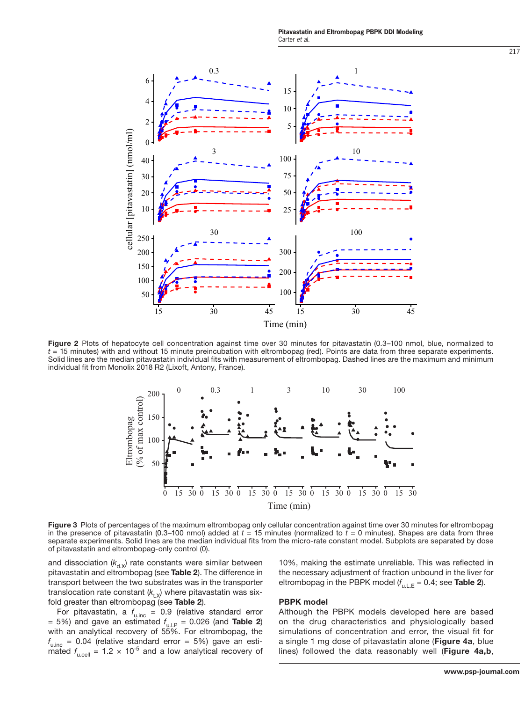

Figure 2 Plots of hepatocyte cell concentration against time over 30 minutes for pitavastatin (0.3–100 nmol, blue, normalized to *t =* 15 minutes) with and without 15 minute preincubation with eltrombopag (red). Points are data from three separate experiments. Solid lines are the median pitavastatin individual fits with measurement of eltrombopag. Dashed lines are the maximum and minimum individual fit from Monolix 2018 R2 (Lixoft, Antony, France).



Figure 3 Plots of percentages of the maximum eltrombopag only cellular concentration against time over 30 minutes for eltrombopag in the presence of pitavastatin (0.3–100 nmol) added at *t =* 15 minutes (normalized to *t =* 0 minutes). Shapes are data from three separate experiments. Solid lines are the median individual fits from the micro-rate constant model. Subplots are separated by dose of pitavastatin and eltrombopag-only control (0).

and dissociation  $(k_{d.x})$  rate constants were similar between pitavastatin and eltrombopag (see Table 2). The difference in transport between the two substrates was in the transporter translocation rate constant  $(k_{t,x})$  where pitavastatin was sixfold greater than eltrombopag (see Table 2).

For pitavastatin, a  $f_{\text{u.inc}} = 0.9$  (relative standard error *=*  5%) and gave an estimated *f* u.l.P *=*  0.026 (and Table 2) with an analytical recovery of 55%. For eltrombopag, the *f* u.inc *=*  0.04 (relative standard error *=*  5%) gave an estimated  $f_{\text{u.cell}} = 1.2 \times 10^{-5}$  and a low analytical recovery of 10%, making the estimate unreliable. This was reflected in the necessary adjustment of fraction unbound in the liver for eltrombopag in the PBPK model ( $f_{\mathsf{u.L.E}}$  = 0.4; see **Table 2**).

#### PBPK model

Although the PBPK models developed here are based on the drug characteristics and physiologically based simulations of concentration and error, the visual fit for a single 1 mg dose of pitavastatin alone (Figure 4a, blue lines) followed the data reasonably well (Figure 4a,b,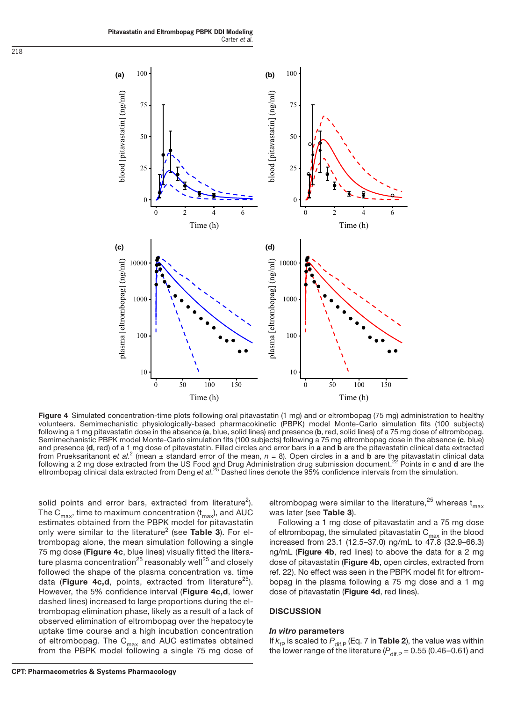**Pitavastatin and Eltrombopag PBPK DDI Modeling** Carter *et al.*



Figure 4 Simulated concentration-time plots following oral pitavastatin (1 mg) and or eltrombopag (75 mg) administration to healthy volunteers. Semimechanistic physiologically-based pharmacokinetic (PBPK) model Monte-Carlo simulation fits (100 subjects) following a 1 mg pitavastatin dose in the absence (a, blue, solid lines) and presence (b, red, solid lines) of a 75 mg dose of eltrombopag. Semimechanistic PBPK model Monte-Carlo simulation fits (100 subjects) following a 75 mg eltrombopag dose in the absence (c, blue) and presence (d, red) of a 1 mg dose of pitavastatin. Filled circles and error bars in a and b are the pitavastatin clinical data extracted from Prueksaritanont et al.<sup>2</sup> (mean ± standard error of the mean, n = 8). Open circles in **a** and **b** are the pitavastatin clinical data<br>following a 2 mg dose extracted from the US Food and Drug Administration drug submis eltrombopag clinical data extracted from Deng *et al*. 25 Dashed lines denote the 95% confidence intervals from the simulation.

solid points and error bars, extracted from literature<sup>2</sup>). The C<sub>max</sub>, time to maximum concentration  $(t_{max})$ , and AUC estimates obtained from the PBPK model for pitavastatin only were similar to the literature<sup>2</sup> (see Table 3). For eltrombopag alone, the mean simulation following a single 75 mg dose (Figure 4c, blue lines) visually fitted the literature plasma concentration<sup>25</sup> reasonably well<sup>25</sup> and closely followed the shape of the plasma concentration vs. time data (Figure  $4c,d$ , points, extracted from literature<sup>25</sup>). However, the 5% confidence interval (Figure 4c,d, lower dashed lines) increased to large proportions during the eltrombopag elimination phase, likely as a result of a lack of observed elimination of eltrombopag over the hepatocyte uptake time course and a high incubation concentration of eltrombopag. The  $C_{max}$  and AUC estimates obtained from the PBPK model following a single 75 mg dose of

eltrombopag were similar to the literature,<sup>25</sup> whereas  $t_{max}$ was later (see Table 3).

Following a 1 mg dose of pitavastatin and a 75 mg dose of eltrombopag, the simulated pitavastatin  $C_{max}$  in the blood increased from 23.1 (12.5–37.0) ng/mL to 47.8 (32.9–66.3) ng/mL (Figure 4b, red lines) to above the data for a 2 mg dose of pitavastatin (Figure 4b, open circles, extracted from ref. 22). No effect was seen in the PBPK model fit for eltrombopag in the plasma following a 75 mg dose and a 1 mg dose of pitavastatin (Figure 4d, red lines).

#### **DISCUSSION**

#### *In vitro* parameters

If  $k_{\text{fp}}$  is scaled to  $P_{\text{dif,P}}$  (Eq. 7 in **Table 2**), the value was within the lower range of the literature ( $P_{\text{dif,P}} = 0.55$  (0.46–0.61) and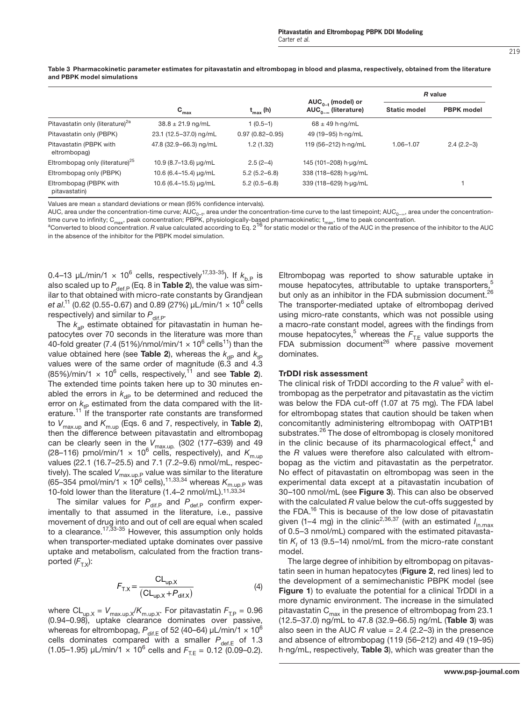|                                              |                           |                     |                                                    | R value             |                   |
|----------------------------------------------|---------------------------|---------------------|----------------------------------------------------|---------------------|-------------------|
|                                              | $\mathbf{C}_{\text{max}}$ | $t_{max}$ (h)       | $AUC_{0-t}$ (model) or<br>$AUC_{n-m}$ (literature) | <b>Static model</b> | <b>PBPK</b> model |
| Pitavastatin only (literature) <sup>2a</sup> | $38.8 \pm 21.9$ ng/mL     | $1(0.5-1)$          | $68 \pm 49$ h ng/mL                                |                     |                   |
| Pitavastatin only (PBPK)                     | 23.1 (12.5-37.0) ng/mL    | $0.97(0.82 - 0.95)$ | 49 (19-95) h-ng/mL                                 |                     |                   |
| Pitavastatin (PBPK with<br>eltrombopag)      | 47.8 (32.9-66.3) ng/mL    | 1.2(1.32)           | 119 (56-212) h·ng/mL                               | 1.06-1.07           | $2.4(2.2-3)$      |
| Eltrombopag only (literature) <sup>25</sup>  | 10.9 (8.7-13.6) µg/mL     | $2.5(2-4)$          | 145 (101-208) h-µg/mL                              |                     |                   |
| Eltrombopag only (PBPK)                      | 10.6 (6.4–15.4) µg/mL     | $5.2(5.2 - 6.8)$    | 338 (118-628) h-µg/mL                              |                     |                   |
| Eltrombopag (PBPK with<br>pitavastatin)      | 10.6 (6.4-15.5) µg/mL     | $5.2(0.5-6.8)$      | 339 (118-629) h-ug/mL                              |                     |                   |

Table 3 Pharmacokinetic parameter estimates for pitavastatin and eltrombopag in blood and plasma, respectively, obtained from the literature and PBPK model simulations

Values are mean ± standard deviations or mean (95% confidence intervals).

AUC, area under the concentration-time curve; AUC<sub>0−t</sub>, area under the concentration-time curve to the last timepoint; AUC<sub>0−∞</sub>, area under the concentration-

time curve to infinity; C<sub>max</sub>, peak concentration; PBPK, physiologically-based pharmacokinetic; t<sub>max</sub>, time to peak concentration.<br><sup>a</sup>Converted to blood concentration. *R* value calculated according to Eq. 2 <sup>16</sup> for sta in the absence of the inhibitor for the PBPK model simulation.

0.4–13  $\mu$ L/min/1  $\times$  10 $^6$  cells, respectively<sup>17,33-35</sup>). If  $k^{}_{\rm b.P}$  is also scaled up to  $P_{\text{def,P}}$  (Eq. 8 in **Table 2**), the value was similar to that obtained with micro-rate constants by Grandjean *et al*. 11 (0.62 (0.55-0.67) and 0.89 (27%) µL/min/1 × 106 cells respectively) and similar to  $P_{\text{dif.P.}}$ 

The  $k_{\text{ap}}$  estimate obtained for pitavastatin in human hepatocytes over 70 seconds in the literature was more than 40-fold greater (7.4 (51%)/nmol/min/1  $\times$  10<sup>6</sup> cells<sup>11</sup>) than the value obtained here (see **Table 2**), whereas the  $k_{dp}$  and  $k_{tp}$ values were of the same order of magnitude (6.3 and 4.3  $(85\%)$ /min/1  $\times$  10<sup>6</sup> cells, respectively,<sup>11</sup> and see **Table 2**). The extended time points taken here up to 30 minutes enabled the errors in  $k_{\text{dp}}$  to be determined and reduced the error on  $k_{\text{tp}}$  estimated from the data compared with the literature.<sup>11</sup> If the transporter rate constants are transformed to *V*max.up and *K*m.up (Eqs. 6 and 7, respectively, in Table 2), then the difference between pitavastatin and eltrombopag can be clearly seen in the *V*max.up*.* (302 (177–639) and 49 (28–116) pmol/min/1  $\times$  10<sup>6</sup> cells, respectively), and  $K_{m,\text{up}}$ values (22.1 (16.7–25.5) and 7.1 (7.2–9.6) nmol/mL, respectively). The scaled  $V_{\sf max.up.P}$  value was similar to the literature (65–354 pmol/min/1  $\times$  10<sup>6</sup> cells),<sup>11,33,34</sup> whereas  $K_{\text{m.up.P}}$  was 10-fold lower than the literature (1.4–2 nmol/mL).11,33,34

The similar values for  $P_{\text{diff.P}}$  and  $P_{\text{def.P}}$  confirm experimentally to that assumed in the literature, i.e., passive movement of drug into and out of cell are equal when scaled to a clearance.<sup>17,33-35</sup> However, this assumption only holds when transporter-mediated uptake dominates over passive uptake and metabolism, calculated from the fraction transported  $(F_{TX})$ :

$$
F_{\text{T,X}} = \frac{\text{CL}_{\text{up,X}}}{(\text{CL}_{\text{up,X}} + P_{\text{dif,X}})}\tag{4}
$$

where  $CL_{up.X} = V_{max.up.X}/K_{m.up.X}$ . For pitavastatin  $F_{TP} = 0.96$ (0.94–0.98), uptake clearance dominates over passive, whereas for eltrombopag,  $P_{\mathsf{dif}\_\mathsf{E}}$  of 52 (40–64)  $\mu\mathsf{\bot}/\mathsf{min}/1\times 10^6$ cells dominates compared with a smaller  $P_{\text{def,E}}$  of 1.3  $(1.05-1.95)$   $\mu$ L/min/1  $\times$  10<sup>6</sup> cells and  $F_{\text{T.E}} = 0.12$  (0.09–0.2). Eltrombopag was reported to show saturable uptake in mouse hepatocytes, attributable to uptake transporters,<sup>5</sup> but only as an inhibitor in the FDA submission document.<sup>26</sup> The transporter-mediated uptake of eltrombopag derived using micro-rate constants, which was not possible using a macro-rate constant model, agrees with the findings from mouse hepatocytes,<sup>5</sup> whereas the  $F_{\text{TE}}$  value supports the FDA submission document<sup>26</sup> where passive movement dominates.

#### TrDDI risk assessment

The clinical risk of TrDDI according to the R value<sup>2</sup> with eltrombopag as the perpetrator and pitavastatin as the victim was below the FDA cut-off (1.07 at 75 mg). The FDA label for eltrombopag states that caution should be taken when concomitantly administering eltrombopag with OATP1B1 substrates.<sup>26</sup> The dose of eltrombopag is closely monitored in the clinic because of its pharmacological effect,<sup>4</sup> and the *R* values were therefore also calculated with eltrombopag as the victim and pitavastatin as the perpetrator. No effect of pitavastatin on eltrombopag was seen in the experimental data except at a pitavastatin incubation of 30–100 nmol/mL (see Figure 3). This can also be observed with the calculated *R* value below the cut-offs suggested by the FDA. $16$  This is because of the low dose of pitavastatin given (1–4 mg) in the clinic<sup>2,36,37</sup> (with an estimated *I*<sub>in.max</sub> of 0.5–3 nmol/mL) compared with the estimated pitavastatin K<sub>I</sub> of 13 (9.5–14) nmol/mL from the micro-rate constant model.

The large degree of inhibition by eltrombopag on pitavastatin seen in human hepatocytes (Figure 2, red lines) led to the development of a semimechanistic PBPK model (see Figure 1) to evaluate the potential for a clinical TrDDI in a more dynamic environment. The increase in the simulated pitavastatin  $C_{max}$  in the presence of eltrombopag from 23.1 (12.5–37.0) ng/mL to 47.8 (32.9–66.5) ng/mL (Table 3) was also seen in the AUC *R* value *=* 2.4 (2.2–3) in the presence and absence of eltrombopag (119 (56–212) and 49 (19–95) h·ng/mL, respectively, Table 3), which was greater than the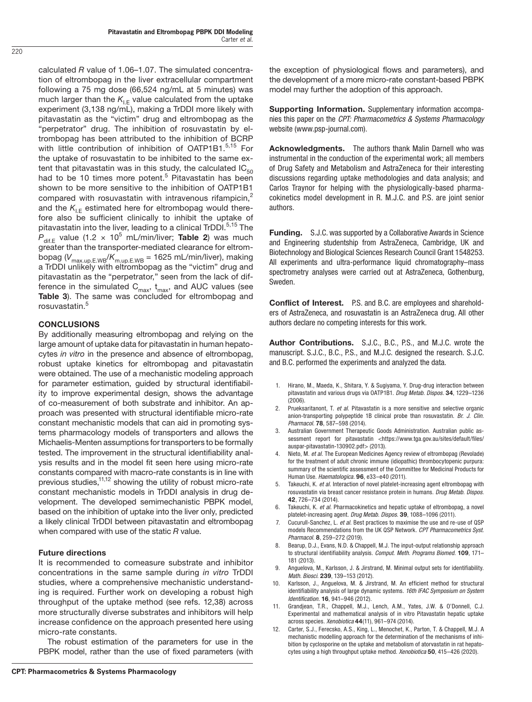calculated *R* value of 1.06–1.07. The simulated concentration of eltrombopag in the liver extracellular compartment following a 75 mg dose (66,524 ng/mL at 5 minutes) was much larger than the  $K_{\text{IF}}$  value calculated from the uptake experiment (3,138 ng/mL), making a TrDDI more likely with pitavastatin as the "victim" drug and eltrombopag as the "perpetrator" drug. The inhibition of rosuvastatin by eltrombopag has been attributed to the inhibition of BCRP with little contribution of inhibition of OATP1B1.<sup>5,15</sup> For the uptake of rosuvastatin to be inhibited to the same extent that pitavastatin was in this study, the calculated  $IC_{50}$ had to be 10 times more potent.<sup>5</sup> Pitavastatin has been shown to be more sensitive to the inhibition of OATP1B1 compared with rosuvastatin with intravenous rifampicin, $2$ and the  $K_{IF}$  estimated here for eltrombopag would therefore also be sufficient clinically to inhibit the uptake of pitavastatin into the liver, leading to a clinical TrDDI.<sup>5,15</sup> The  $P_{\text{dif.E}}$  value (1.2  $\times$  10<sup>5</sup> mL/min/liver; **Table 2**) was much greater than the transporter-mediated clearance for eltrombopag (*V*max.up.E.WB/*K*m.up.E.WB *=* 1625 mL/min/liver), making a TrDDI unlikely with eltrombopag as the "victim" drug and pitavastatin as the "perpetrator," seen from the lack of difference in the simulated  $C_{max}$ ,  $t_{max}$ , and AUC values (see Table 3). The same was concluded for eltrombopag and rosuvastatin.<sup>5</sup>

# CONCLUSIONS

By additionally measuring eltrombopag and relying on the large amount of uptake data for pitavastatin in human hepatocytes *in vitro* in the presence and absence of eltrombopag, robust uptake kinetics for eltrombopag and pitavastatin were obtained. The use of a mechanistic modeling approach for parameter estimation, guided by structural identifiability to improve experimental design, shows the advantage of co-measurement of both substrate and inhibitor. An approach was presented with structural identifiable micro-rate constant mechanistic models that can aid in promoting systems pharmacology models of transporters and allows the Michaelis-Menten assumptions for transporters to be formally tested. The improvement in the structural identifiability analysis results and in the model fit seen here using micro-rate constants compared with macro-rate constants is in line with previous studies,<sup>11,12</sup> showing the utility of robust micro-rate constant mechanistic models in TrDDI analysis in drug development. The developed semimechanistic PBPK model, based on the inhibition of uptake into the liver only, predicted a likely clinical TrDDI between pitavastatin and eltrombopag when compared with use of the static *R* value.

# Future directions

It is recommended to comeasure substrate and inhibitor concentrations in the same sample during *in vitro* TrDDI studies, where a comprehensive mechanistic understanding is required. Further work on developing a robust high throughput of the uptake method (see refs. 12,38) across more structurally diverse substrates and inhibitors will help increase confidence on the approach presented here using micro-rate constants.

The robust estimation of the parameters for use in the PBPK model, rather than the use of fixed parameters (with the exception of physiological flows and parameters), and the development of a more micro-rate constant-based PBPK model may further the adoption of this approach.

Supporting Information. Supplementary information accompanies this paper on the *CPT: Pharmacometrics & Systems Pharmacology*  website (www.psp-journal.com).

Acknowledgments. The authors thank Malin Darnell who was instrumental in the conduction of the experimental work; all members of Drug Safety and Metabolism and AstraZeneca for their interesting discussions regarding uptake methodologies and data analysis; and Carlos Traynor for helping with the physiologically-based pharmacokinetics model development in R. M.J.C. and P.S. are joint senior authors.

Funding. S.J.C. was supported by a Collaborative Awards in Science and Engineering studentship from AstraZeneca, Cambridge, UK and Biotechnology and Biological Sciences Research Council Grant 1548253. All experiments and ultra-performance liquid chromatography–mass spectrometry analyses were carried out at AstraZeneca, Gothenburg, Sweden.

Conflict of Interest. P.S. and B.C. are employees and shareholders of AstraZeneca, and rosuvastatin is an AstraZeneca drug. All other authors declare no competing interests for this work.

Author Contributions. S.J.C., B.C., P.S., and M.J.C. wrote the manuscript. S.J.C., B.C., P.S., and M.J.C. designed the research. S.J.C. and B.C. performed the experiments and analyzed the data.

- 1. Hirano, M., Maeda, K., Shitara, Y. & Sugiyama, Y. Drug-drug interaction between pitavastatin and various drugs via OATP1B1. *Drug Metab. Dispos.* 34, 1229–1236 (2006).
- 2. Prueksaritanont, T. *et al*. Pitavastatin is a more sensitive and selective organic anion-transporting polypeptide 1B clinical probe than rosuvastatin. *Br. J. Clin. Pharmacol.* 78, 587–598 (2014).
- 3. Australian Government Therapeutic Goods Administration. Australian public assessment report for pitavastatin <[https://www.tga.gov.au/sites/default/files/](https://www.tga.gov.au/sites/default/files/auspar-pitavastatin-130902.pdf) [auspar-pitavastatin-130902.pdf>](https://www.tga.gov.au/sites/default/files/auspar-pitavastatin-130902.pdf) (2013).
- 4. Nieto, M. *et al*. The European Medicines Agency review of eltrombopag (Revolade) for the treatment of adult chronic immune (idiopathic) thrombocytopenic purpura: summary of the scientific assessment of the Committee for Medicinal Products for Human Use. *Haematologica.* 96, e33–e40 (2011).
- 5. Takeuchi, K. *et al*. Interaction of novel platelet-increasing agent eltrombopag with rosuvastatin via breast cancer resistance protein in humans. *Drug Metab. Dispos.* 42, 726–734 (2014).
- Takeuchi, K. *et al.* Pharmacokinetics and hepatic uptake of eltrombopag, a novel platelet-increasing agent. *Drug Metab. Dispos.* 39, 1088–1096 (2011).
- 7. Cucurull-Sanchez, L. *et al*. Best practices to maximise the use and re-use of QSP models Recommendations from the UK QSP Network. *CPT Pharmacometrics Syst. Pharmacol*. 8, 259–272 (2019).
- 8. Bearup, D.J., Evans, N.D. & Chappell, M.J. The input-output relationship approach to structural identifiability analysis. *Comput. Meth. Programs Biomed.* 109, 171– 181 (2013).
- 9. Anguelova, M., Karlsson, J. & Jirstrand, M. Minimal output sets for identifiability. *Math. Biosci.* 239, 139–153 (2012).
- 10. Karlsson, J., Anguelova, M. & Jirstrand, M. An efficient method for structural identifiability analysis of large dynamic systems. *16th IFAC Symposium on System Identification*. 16, 941–946 (2012).
- 11. Grandjean, T.R., Chappell, M.J., Lench, A.M., Yates, J.W. & O'Donnell, C.J. Experimental and mathematical analysis of in vitro Pitavastatin hepatic uptake across species. *Xenobiotica* 44(11), 961–974 (2014).
- 12. Carter, S.J., Ferecsko, A.S., King, L., Menochet, K., Parton, T. & Chappell, M.J. A mechanistic modelling approach for the determination of the mechanisms of inhibition by cyclosporine on the uptake and metabolism of atorvastatin in rat hepatocytes using a high throughput uptake method. *Xenobiotica* 50, 415–426 (2020).